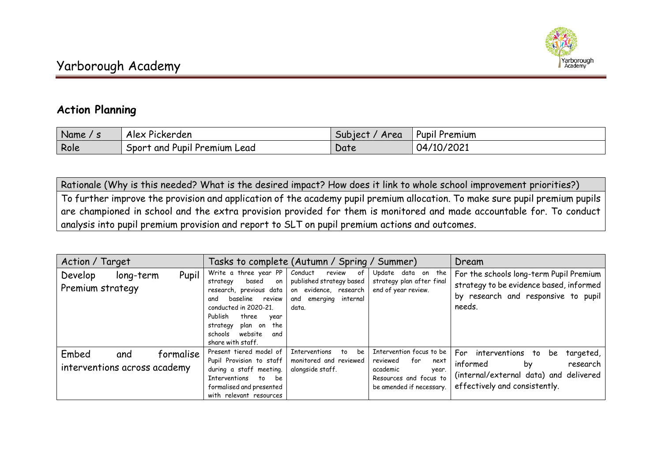

## **Action Planning**

| Name | Pickerden                                               | Area           | I Premium      |
|------|---------------------------------------------------------|----------------|----------------|
| - -  | Alex                                                    | <b>Subject</b> | Pupil          |
| Role | $\cdot$ . $\sim$<br>Sport and P<br>' Pupil Premium Lead | Date           | 10/2021<br>04/ |

Rationale (Why is this needed? What is the desired impact? How does it link to whole school improvement priorities?) To further improve the provision and application of the academy pupil premium allocation. To make sure pupil premium pupils are championed in school and the extra provision provided for them is monitored and made accountable for. To conduct analysis into pupil premium provision and report to SLT on pupil premium actions and outcomes.

| Action / Target                                           | Tasks to complete (Autumn / Spring / Summer)                                                                                                                                                                                               |                                                                                                                      |                                                                                                                                | Dream                                                                                                                                                 |
|-----------------------------------------------------------|--------------------------------------------------------------------------------------------------------------------------------------------------------------------------------------------------------------------------------------------|----------------------------------------------------------------------------------------------------------------------|--------------------------------------------------------------------------------------------------------------------------------|-------------------------------------------------------------------------------------------------------------------------------------------------------|
| Pupil<br>Develop<br>long-term<br>Premium strategy         | Write a three year PP<br>based<br>strategy<br>on<br>research, previous data<br>baseline review<br>and<br>conducted in 2020-21.<br>Publish<br>three<br>year<br>the<br>strategy<br>plan on<br>website<br>schools<br>and<br>share with staff. | Conduct<br>review<br>of<br>published strategy based<br>on evidence, research<br>internal<br>emerging<br>and<br>data. | Update data on the<br>strategy plan after final<br>end of year review.                                                         | For the schools long-term Pupil Premium<br>strategy to be evidence based, informed<br>by research and responsive to pupil<br>needs.                   |
| Embed<br>formalise<br>and<br>interventions across academy | Present tiered model of<br>Pupil Provision to staff<br>during a staff meeting.<br>Interventions to<br>be<br>formalised and presented<br>with relevant resources                                                                            | <b>Interventions</b><br>be<br>to<br>monitored and reviewed<br>alongside staff.                                       | Intervention focus to be<br>for<br>reviewed<br>next<br>academic<br>year.<br>Resources and focus to<br>be amended if necessary. | For interventions<br>targeted,<br>to.<br>be.<br>informed<br>research<br>by<br>(internal/external data) and delivered<br>effectively and consistently. |